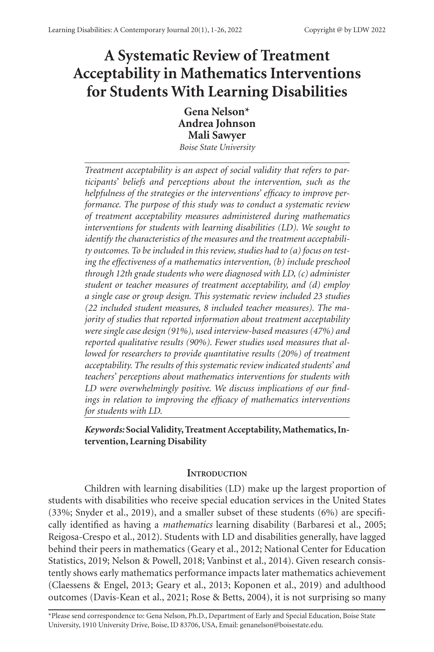# **A Systematic Review of Treatment Acceptability in Mathematics Interventions for Students With Learning Disabilities**

**Gena Nelson\* Andrea Johnson Mali Sawyer**

*Boise State University*

*Treatment acceptability is an aspect of social validity that refers to participants' beliefs and perceptions about the intervention, such as the helpfulness of the strategies or the interventions' efficacy to improve performance. The purpose of this study was to conduct a systematic review of treatment acceptability measures administered during mathematics interventions for students with learning disabilities (LD). We sought to identify the characteristics of the measures and the treatment acceptability outcomes. To be included in this review, studies had to (a) focus on testing the effectiveness of a mathematics intervention, (b) include preschool through 12th grade students who were diagnosed with LD, (c) administer student or teacher measures of treatment acceptability, and (d) employ a single case or group design. This systematic review included 23 studies (22 included student measures, 8 included teacher measures). The majority of studies that reported information about treatment acceptability were single case design (91%), used interview-based measures (47%) and reported qualitative results (90%). Fewer studies used measures that allowed for researchers to provide quantitative results (20%) of treatment acceptability. The results of this systematic review indicated students' and teachers' perceptions about mathematics interventions for students with LD were overwhelmingly positive. We discuss implications of our findings in relation to improving the efficacy of mathematics interventions for students with LD.*

*Keywords:* **Social Validity, Treatment Acceptability, Mathematics, Intervention, Learning Disability**

# **INTRODUCTION**

Children with learning disabilities (LD) make up the largest proportion of students with disabilities who receive special education services in the United States (33%; Snyder et al., 2019), and a smaller subset of these students (6%) are specifically identified as having a *mathematics* learning disability (Barbaresi et al., 2005; Reigosa-Crespo et al., 2012). Students with LD and disabilities generally, have lagged behind their peers in mathematics (Geary et al., 2012; National Center for Education Statistics, 2019; Nelson & Powell, 2018; Vanbinst et al., 2014). Given research consistently shows early mathematics performance impacts later mathematics achievement (Claessens & Engel, 2013; Geary et al., 2013; Koponen et al., 2019) and adulthood outcomes (Davis-Kean et al., 2021; Rose & Betts, 2004), it is not surprising so many

\*Please send correspondence to: Gena Nelson, Ph.D., Department of Early and Special Education, Boise State University, 1910 University Drive, Boise, ID 83706, USA, Email: genanelson@boisestate.edu.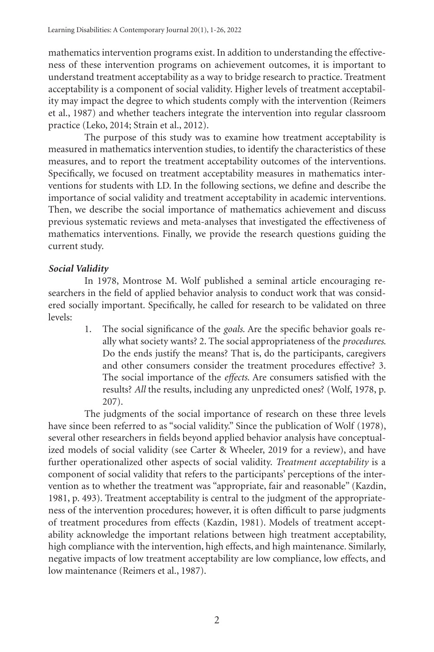mathematics intervention programs exist. In addition to understanding the effectiveness of these intervention programs on achievement outcomes, it is important to understand treatment acceptability as a way to bridge research to practice. Treatment acceptability is a component of social validity. Higher levels of treatment acceptability may impact the degree to which students comply with the intervention (Reimers et al., 1987) and whether teachers integrate the intervention into regular classroom practice (Leko, 2014; Strain et al., 2012).

The purpose of this study was to examine how treatment acceptability is measured in mathematics intervention studies, to identify the characteristics of these measures, and to report the treatment acceptability outcomes of the interventions. Specifically, we focused on treatment acceptability measures in mathematics interventions for students with LD. In the following sections, we define and describe the importance of social validity and treatment acceptability in academic interventions. Then, we describe the social importance of mathematics achievement and discuss previous systematic reviews and meta-analyses that investigated the effectiveness of mathematics interventions. Finally, we provide the research questions guiding the current study.

# *Social Validity*

In 1978, Montrose M. Wolf published a seminal article encouraging researchers in the field of applied behavior analysis to conduct work that was considered socially important. Specifically, he called for research to be validated on three levels:

> 1. The social significance of the *goals*. Are the specific behavior goals really what society wants? 2. The social appropriateness of the *procedures*. Do the ends justify the means? That is, do the participants, caregivers and other consumers consider the treatment procedures effective? 3. The social importance of the *effects*. Are consumers satisfied with the results? *All* the results, including any unpredicted ones? (Wolf, 1978, p. 207).

The judgments of the social importance of research on these three levels have since been referred to as "social validity." Since the publication of Wolf (1978), several other researchers in fields beyond applied behavior analysis have conceptualized models of social validity (see Carter & Wheeler, 2019 for a review), and have further operationalized other aspects of social validity. *Treatment acceptability* is a component of social validity that refers to the participants' perceptions of the intervention as to whether the treatment was "appropriate, fair and reasonable" (Kazdin, 1981, p. 493). Treatment acceptability is central to the judgment of the appropriateness of the intervention procedures; however, it is often difficult to parse judgments of treatment procedures from effects (Kazdin, 1981). Models of treatment acceptability acknowledge the important relations between high treatment acceptability, high compliance with the intervention, high effects, and high maintenance. Similarly, negative impacts of low treatment acceptability are low compliance, low effects, and low maintenance (Reimers et al., 1987).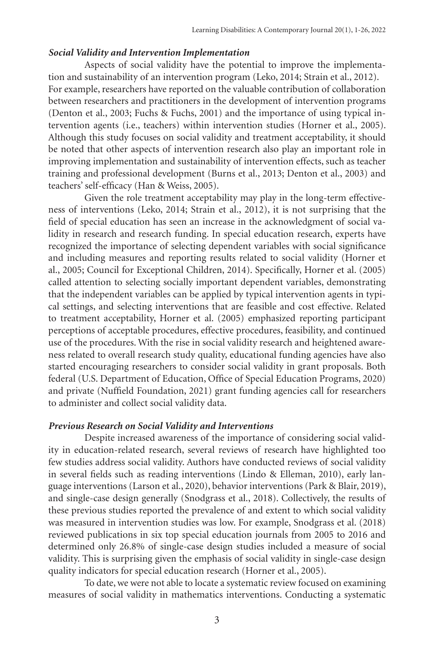# *Social Validity and Intervention Implementation*

Aspects of social validity have the potential to improve the implementation and sustainability of an intervention program (Leko, 2014; Strain et al., 2012). For example, researchers have reported on the valuable contribution of collaboration between researchers and practitioners in the development of intervention programs (Denton et al., 2003; Fuchs & Fuchs, 2001) and the importance of using typical intervention agents (i.e., teachers) within intervention studies (Horner et al., 2005). Although this study focuses on social validity and treatment acceptability, it should be noted that other aspects of intervention research also play an important role in improving implementation and sustainability of intervention effects, such as teacher training and professional development (Burns et al., 2013; Denton et al., 2003) and teachers' self-efficacy (Han & Weiss, 2005).

Given the role treatment acceptability may play in the long-term effectiveness of interventions (Leko, 2014; Strain et al., 2012), it is not surprising that the field of special education has seen an increase in the acknowledgment of social validity in research and research funding. In special education research, experts have recognized the importance of selecting dependent variables with social significance and including measures and reporting results related to social validity (Horner et al., 2005; Council for Exceptional Children, 2014). Specifically, Horner et al. (2005) called attention to selecting socially important dependent variables, demonstrating that the independent variables can be applied by typical intervention agents in typical settings, and selecting interventions that are feasible and cost effective. Related to treatment acceptability, Horner et al. (2005) emphasized reporting participant perceptions of acceptable procedures, effective procedures, feasibility, and continued use of the procedures. With the rise in social validity research and heightened awareness related to overall research study quality, educational funding agencies have also started encouraging researchers to consider social validity in grant proposals. Both federal (U.S. Department of Education, Office of Special Education Programs, 2020) and private (Nuffield Foundation, 2021) grant funding agencies call for researchers to administer and collect social validity data.

# *Previous Research on Social Validity and Interventions*

Despite increased awareness of the importance of considering social validity in education-related research, several reviews of research have highlighted too few studies address social validity. Authors have conducted reviews of social validity in several fields such as reading interventions (Lindo & Elleman, 2010), early language interventions (Larson et al., 2020), behavior interventions (Park & Blair, 2019), and single-case design generally (Snodgrass et al., 2018). Collectively, the results of these previous studies reported the prevalence of and extent to which social validity was measured in intervention studies was low. For example, Snodgrass et al. (2018) reviewed publications in six top special education journals from 2005 to 2016 and determined only 26.8% of single-case design studies included a measure of social validity. This is surprising given the emphasis of social validity in single-case design quality indicators for special education research (Horner et al., 2005).

To date, we were not able to locate a systematic review focused on examining measures of social validity in mathematics interventions. Conducting a systematic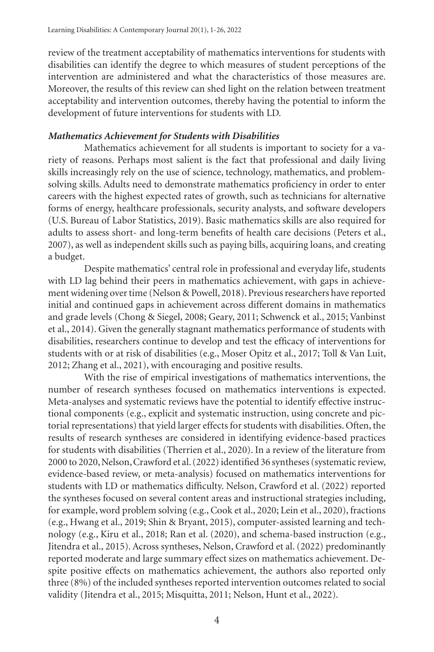review of the treatment acceptability of mathematics interventions for students with disabilities can identify the degree to which measures of student perceptions of the intervention are administered and what the characteristics of those measures are. Moreover, the results of this review can shed light on the relation between treatment acceptability and intervention outcomes, thereby having the potential to inform the development of future interventions for students with LD.

# *Mathematics Achievement for Students with Disabilities*

Mathematics achievement for all students is important to society for a variety of reasons. Perhaps most salient is the fact that professional and daily living skills increasingly rely on the use of science, technology, mathematics, and problemsolving skills. Adults need to demonstrate mathematics proficiency in order to enter careers with the highest expected rates of growth, such as technicians for alternative forms of energy, healthcare professionals, security analysts, and software developers (U.S. Bureau of Labor Statistics, 2019). Basic mathematics skills are also required for adults to assess short- and long-term benefits of health care decisions (Peters et al., 2007), as well as independent skills such as paying bills, acquiring loans, and creating a budget.

Despite mathematics' central role in professional and everyday life, students with LD lag behind their peers in mathematics achievement, with gaps in achievement widening over time (Nelson & Powell, 2018). Previous researchers have reported initial and continued gaps in achievement across different domains in mathematics and grade levels (Chong & Siegel, 2008; Geary, 2011; Schwenck et al., 2015; Vanbinst et al., 2014). Given the generally stagnant mathematics performance of students with disabilities, researchers continue to develop and test the efficacy of interventions for students with or at risk of disabilities (e.g., Moser Opitz et al., 2017; Toll & Van Luit, 2012; Zhang et al., 2021), with encouraging and positive results.

With the rise of empirical investigations of mathematics interventions, the number of research syntheses focused on mathematics interventions is expected. Meta-analyses and systematic reviews have the potential to identify effective instructional components (e.g., explicit and systematic instruction, using concrete and pictorial representations) that yield larger effects for students with disabilities. Often, the results of research syntheses are considered in identifying evidence-based practices for students with disabilities (Therrien et al., 2020). In a review of the literature from 2000 to 2020, Nelson, Crawford et al. (2022) identified 36 syntheses (systematic review, evidence-based review, or meta-analysis) focused on mathematics interventions for students with LD or mathematics difficulty. Nelson, Crawford et al. (2022) reported the syntheses focused on several content areas and instructional strategies including, for example, word problem solving (e.g., Cook et al., 2020; Lein et al., 2020), fractions (e.g., Hwang et al., 2019; Shin & Bryant, 2015), computer-assisted learning and technology (e.g., Kiru et al., 2018; Ran et al. (2020), and schema-based instruction (e.g., Jitendra et al., 2015). Across syntheses, Nelson, Crawford et al. (2022) predominantly reported moderate and large summary effect sizes on mathematics achievement. Despite positive effects on mathematics achievement, the authors also reported only three (8%) of the included syntheses reported intervention outcomes related to social validity (Jitendra et al., 2015; Misquitta, 2011; Nelson, Hunt et al., 2022).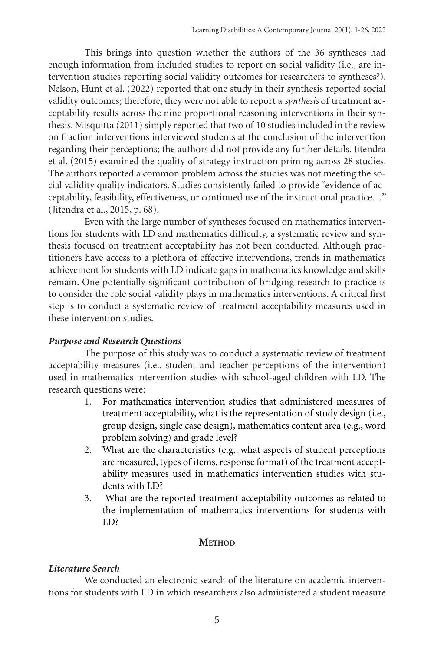This brings into question whether the authors of the 36 syntheses had enough information from included studies to report on social validity (i.e., are intervention studies reporting social validity outcomes for researchers to syntheses?). Nelson, Hunt et al. (2022) reported that one study in their synthesis reported social validity outcomes; therefore, they were not able to report a *synthesis* of treatment acceptability results across the nine proportional reasoning interventions in their synthesis. Misquitta (2011) simply reported that two of 10 studies included in the review on fraction interventions interviewed students at the conclusion of the intervention regarding their perceptions; the authors did not provide any further details. Jitendra et al. (2015) examined the quality of strategy instruction priming across 28 studies. The authors reported a common problem across the studies was not meeting the social validity quality indicators. Studies consistently failed to provide "evidence of acceptability, feasibility, effectiveness, or continued use of the instructional practice…" (Jitendra et al., 2015, p. 68).

Even with the large number of syntheses focused on mathematics interventions for students with LD and mathematics difficulty, a systematic review and synthesis focused on treatment acceptability has not been conducted. Although practitioners have access to a plethora of effective interventions, trends in mathematics achievement for students with LD indicate gaps in mathematics knowledge and skills remain. One potentially significant contribution of bridging research to practice is to consider the role social validity plays in mathematics interventions. A critical first step is to conduct a systematic review of treatment acceptability measures used in these intervention studies.

# *Purpose and Research Questions*

The purpose of this study was to conduct a systematic review of treatment acceptability measures (i.e., student and teacher perceptions of the intervention) used in mathematics intervention studies with school-aged children with LD. The research questions were:

- 1. For mathematics intervention studies that administered measures of treatment acceptability, what is the representation of study design (i.e., group design, single case design), mathematics content area (e.g., word problem solving) and grade level?
- 2. What are the characteristics (e.g., what aspects of student perceptions are measured, types of items, response format) of the treatment acceptability measures used in mathematics intervention studies with students with LD?
- 3. What are the reported treatment acceptability outcomes as related to the implementation of mathematics interventions for students with LD?

# **METHOD**

# *Literature Search*

We conducted an electronic search of the literature on academic interventions for students with LD in which researchers also administered a student measure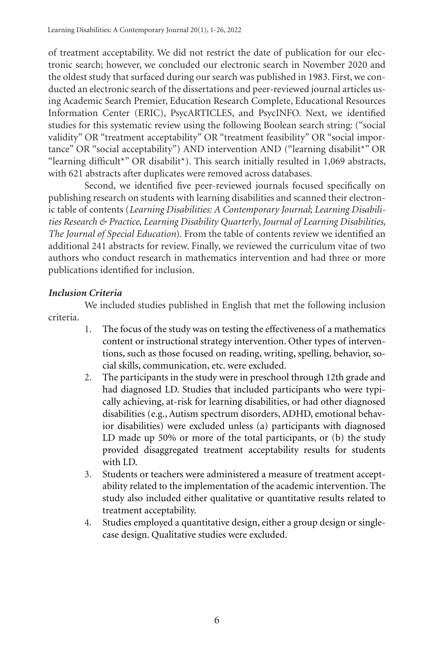of treatment acceptability. We did not restrict the date of publication for our electronic search; however, we concluded our electronic search in November 2020 and the oldest study that surfaced during our search was published in 1983. First, we conducted an electronic search of the dissertations and peer-reviewed journal articles using Academic Search Premier, Education Research Complete, Educational Resources Information Center (ERIC), PsycARTICLES, and PsycINFO. Next, we identified studies for this systematic review using the following Boolean search string: ("social validity" OR "treatment acceptability" OR "treatment feasibility" OR "social importance" OR "social acceptability") AND intervention AND ("learning disabilit\*" OR "learning difficult\*" OR disabilit\*). This search initially resulted in 1,069 abstracts, with 621 abstracts after duplicates were removed across databases.

Second, we identified five peer-reviewed journals focused specifically on publishing research on students with learning disabilities and scanned their electronic table of contents (*Learning Disabilities: A Contemporary Journal*; *Learning Disabilities Research & Practice*, *Learning Disability Quarterly*, *Journal of Learning Disabilities, The Journal of Special Education*). From the table of contents review we identified an additional 241 abstracts for review. Finally, we reviewed the curriculum vitae of two authors who conduct research in mathematics intervention and had three or more publications identified for inclusion.

# *Inclusion Criteria*

We included studies published in English that met the following inclusion criteria.

- 1. The focus of the study was on testing the effectiveness of a mathematics content or instructional strategy intervention. Other types of interventions, such as those focused on reading, writing, spelling, behavior, social skills, communication, etc. were excluded.
- 2. The participants in the study were in preschool through 12th grade and had diagnosed LD. Studies that included participants who were typically achieving, at-risk for learning disabilities, or had other diagnosed disabilities (e.g., Autism spectrum disorders, ADHD, emotional behavior disabilities) were excluded unless (a) participants with diagnosed LD made up 50% or more of the total participants, or (b) the study provided disaggregated treatment acceptability results for students with LD.
- 3. Students or teachers were administered a measure of treatment acceptability related to the implementation of the academic intervention. The study also included either qualitative or quantitative results related to treatment acceptability.
- 4. Studies employed a quantitative design, either a group design or singlecase design. Qualitative studies were excluded.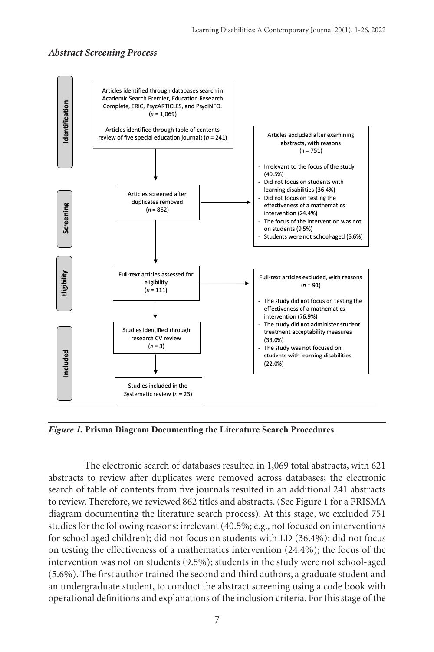## *Abstract Screening Process*



*Figure 1.* **Prisma Diagram Documenting the Literature Search Procedures**

The electronic search of databases resulted in 1,069 total abstracts, with 621 abstracts to review after duplicates were removed across databases; the electronic search of table of contents from five journals resulted in an additional 241 abstracts to review. Therefore, we reviewed 862 titles and abstracts. (See Figure 1 for a PRISMA diagram documenting the literature search process). At this stage, we excluded 751 studies for the following reasons: irrelevant (40.5%; e.g., not focused on interventions for school aged children); did not focus on students with LD (36.4%); did not focus on testing the effectiveness of a mathematics intervention (24.4%); the focus of the intervention was not on students (9.5%); students in the study were not school-aged (5.6%). The first author trained the second and third authors, a graduate student and an undergraduate student, to conduct the abstract screening using a code book with operational definitions and explanations of the inclusion criteria. For this stage of the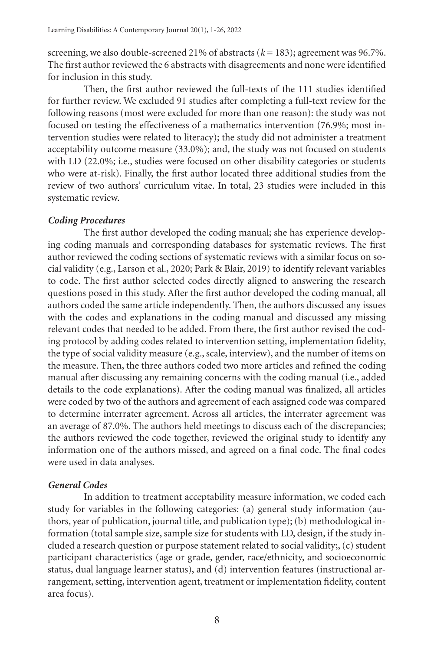screening, we also double-screened 21% of abstracts  $(k = 183)$ ; agreement was 96.7%. The first author reviewed the 6 abstracts with disagreements and none were identified for inclusion in this study.

Then, the first author reviewed the full-texts of the 111 studies identified for further review. We excluded 91 studies after completing a full-text review for the following reasons (most were excluded for more than one reason): the study was not focused on testing the effectiveness of a mathematics intervention (76.9%; most intervention studies were related to literacy); the study did not administer a treatment acceptability outcome measure (33.0%); and, the study was not focused on students with LD (22.0%; i.e., studies were focused on other disability categories or students who were at-risk). Finally, the first author located three additional studies from the review of two authors' curriculum vitae. In total, 23 studies were included in this systematic review.

# *Coding Procedures*

The first author developed the coding manual; she has experience developing coding manuals and corresponding databases for systematic reviews. The first author reviewed the coding sections of systematic reviews with a similar focus on social validity (e.g., Larson et al., 2020; Park & Blair, 2019) to identify relevant variables to code. The first author selected codes directly aligned to answering the research questions posed in this study. After the first author developed the coding manual, all authors coded the same article independently. Then, the authors discussed any issues with the codes and explanations in the coding manual and discussed any missing relevant codes that needed to be added. From there, the first author revised the coding protocol by adding codes related to intervention setting, implementation fidelity, the type of social validity measure (e.g., scale, interview), and the number of items on the measure. Then, the three authors coded two more articles and refined the coding manual after discussing any remaining concerns with the coding manual (i.e., added details to the code explanations). After the coding manual was finalized, all articles were coded by two of the authors and agreement of each assigned code was compared to determine interrater agreement. Across all articles, the interrater agreement was an average of 87.0%. The authors held meetings to discuss each of the discrepancies; the authors reviewed the code together, reviewed the original study to identify any information one of the authors missed, and agreed on a final code. The final codes were used in data analyses.

# *General Codes*

In addition to treatment acceptability measure information, we coded each study for variables in the following categories: (a) general study information (authors, year of publication, journal title, and publication type); (b) methodological information (total sample size, sample size for students with LD, design, if the study included a research question or purpose statement related to social validity;, (c) student participant characteristics (age or grade, gender, race/ethnicity, and socioeconomic status, dual language learner status), and (d) intervention features (instructional arrangement, setting, intervention agent, treatment or implementation fidelity, content area focus).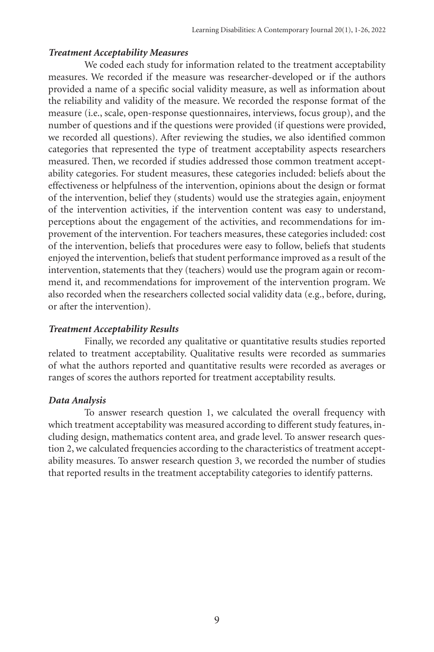## *Treatment Acceptability Measures*

We coded each study for information related to the treatment acceptability measures. We recorded if the measure was researcher-developed or if the authors provided a name of a specific social validity measure, as well as information about the reliability and validity of the measure. We recorded the response format of the measure (i.e., scale, open-response questionnaires, interviews, focus group), and the number of questions and if the questions were provided (if questions were provided, we recorded all questions). After reviewing the studies, we also identified common categories that represented the type of treatment acceptability aspects researchers measured. Then, we recorded if studies addressed those common treatment acceptability categories. For student measures, these categories included: beliefs about the effectiveness or helpfulness of the intervention, opinions about the design or format of the intervention, belief they (students) would use the strategies again, enjoyment of the intervention activities, if the intervention content was easy to understand, perceptions about the engagement of the activities, and recommendations for improvement of the intervention. For teachers measures, these categories included: cost of the intervention, beliefs that procedures were easy to follow, beliefs that students enjoyed the intervention, beliefs that student performance improved as a result of the intervention, statements that they (teachers) would use the program again or recommend it, and recommendations for improvement of the intervention program. We also recorded when the researchers collected social validity data (e.g., before, during, or after the intervention).

# *Treatment Acceptability Results*

Finally, we recorded any qualitative or quantitative results studies reported related to treatment acceptability. Qualitative results were recorded as summaries of what the authors reported and quantitative results were recorded as averages or ranges of scores the authors reported for treatment acceptability results.

# *Data Analysis*

To answer research question 1, we calculated the overall frequency with which treatment acceptability was measured according to different study features, including design, mathematics content area, and grade level. To answer research question 2, we calculated frequencies according to the characteristics of treatment acceptability measures. To answer research question 3, we recorded the number of studies that reported results in the treatment acceptability categories to identify patterns.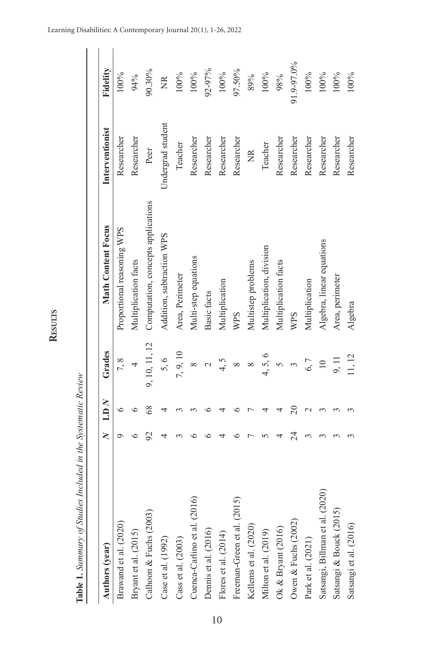| Authors (year)                  | ≷ | $\overline{L}$ | Grades        | <b>Math Content Focus</b>          | Interventionist         | Fidelity   |
|---------------------------------|---|----------------|---------------|------------------------------------|-------------------------|------------|
| Brawand et al. (2020)           |   | 6              | 7,8           | Proportional reasoning WPS         | Researcher              | 100%       |
| Bryant et al. (2015)            |   |                | 4             | Multiplication facts               | Researcher              | 94%        |
| Calhoon & Fuchs (2003)          |   | $\frac{8}{3}$  | 9, 10, 11, 12 | Computation, concepts applications | Peer                    | 90.30%     |
| Case et al. (1992)              |   |                | 5,6           | Addition, subtraction WPS          | Jndergrad student       | ž          |
| Cass et al. (2003)              |   |                | 7, 9, 10      | Area, Perimeter                    | Teacher                 | 100%       |
| Cuenca-Carlino et al. (2016)    |   |                |               | Multi-step equations               | Researcher              | 100%       |
| Dennis et al. (2016)            |   |                |               | Basic facts                        | Researcher              | 92-97%     |
| Flores et al. (2014)            |   |                | 4, 5          | Multiplication                     | Researcher              | 100%       |
| Freeman-Green et al. (2015)     |   |                | $\infty$      | WPS                                | Researcher              | 97.50%     |
| Kellems et al. (2020)           |   |                | ∞             | Multistep problems                 | $\frac{\alpha}{\alpha}$ | 89%        |
| Milton et al. (2019)            |   |                | 4,5,6         | Multiplication, division           | Teacher                 | 100%       |
| Ok & Bryant $(2016)$            |   |                |               | Multiplication facts               | Researcher              | 98%        |
| Owen & Fuchs (2002)             |   |                |               | WPS                                | Researcher              | 91.9-97.0% |
| Park et al. (2021)              |   |                | 6,7           | Multiplication                     | Researcher              | 100%       |
| Satsangi, Billman et al. (2020) |   |                | $\equiv$      | Algebra, linear equations          | Researcher              | 100%       |
| Satsangi & Bouck (2015)         |   |                | 9, 11         | Area, perimeter                    | Researcher              | 100%       |
| Satsangi et al. (2016)          |   |                | 11, 12        | Algebra                            | Researcher              | 100%       |

Table 1. Summary of Studies Included in the Systematic Review **Table 1.** *Summary of Studies Included in the Systematic Review*

**Results**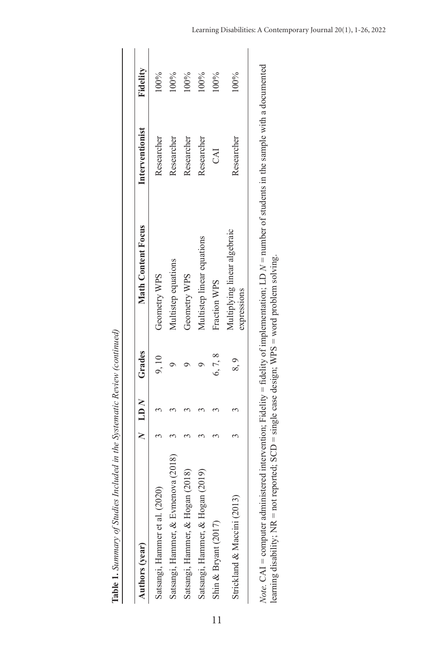| Authors (year)                                                                                                                                                                                                                                                | $N$ LD $N$ | Grades | <b>Math Content Focus</b>                   | Interventionist | Fidelity |
|---------------------------------------------------------------------------------------------------------------------------------------------------------------------------------------------------------------------------------------------------------------|------------|--------|---------------------------------------------|-----------------|----------|
| Satsangi, Hammer et al. (2020)                                                                                                                                                                                                                                |            | 9,10   | Geometry WPS                                | Researcher      | 100%     |
| Satsangi, Hammer, & Evmenova (2018)                                                                                                                                                                                                                           |            |        | Multistep equations                         | Researcher      | $00\%$   |
| Satsangi, Hammer, & Hogan (2018)                                                                                                                                                                                                                              |            |        | Geometry WPS                                | Researcher      | 100%     |
| Satsangi, Hammer, & Hogan (2019)                                                                                                                                                                                                                              |            |        | Multistep linear equations                  | Researcher      | 100%     |
| Shin & Bryant (2017)                                                                                                                                                                                                                                          |            | 6,7,8  | Fraction WPS                                | CAI             | $00\%$   |
| Strickland & Maccini (2013)                                                                                                                                                                                                                                   |            | 8,9    | Multiplying linear algebraic<br>expressions | Researcher      | 100%     |
| <i>Note</i> . $CAI =$ computer administered intervention; Fidelity = fidelity of implementation; LD $N =$ number of students in the sample with a documented<br>learning disability; NR = not reported; SCD = single case design; WPS = word problem solving. |            |        |                                             |                 |          |

Table 1. Summary of Studies Included in the Systematic Review (continued) **Table 1.** *Summary of Studies Included in the Systematic Review (continued)*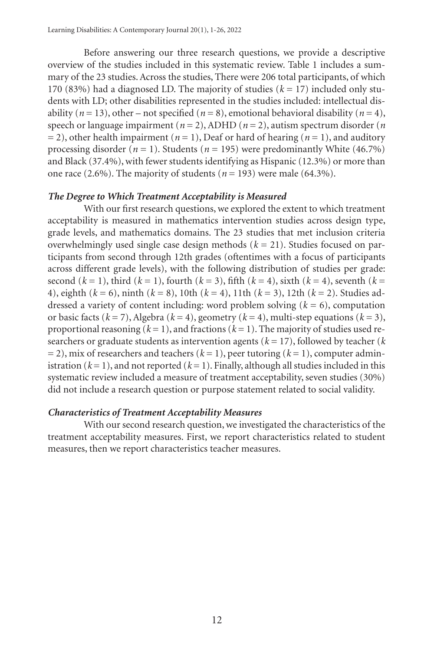Before answering our three research questions, we provide a descriptive overview of the studies included in this systematic review. Table 1 includes a summary of the 23 studies. Across the studies, There were 206 total participants, of which 170 (83%) had a diagnosed LD. The majority of studies  $(k = 17)$  included only students with LD; other disabilities represented in the studies included: intellectual disability  $(n = 13)$ , other – not specified  $(n = 8)$ , emotional behavioral disability  $(n = 4)$ , speech or language impairment ( $n = 2$ ), ADHD ( $n = 2$ ), autism spectrum disorder ( $n = 1$ )  $= 2$ ), other health impairment ( $n = 1$ ), Deaf or hard of hearing ( $n = 1$ ), and auditory processing disorder ( $n = 1$ ). Students ( $n = 195$ ) were predominantly White (46.7%) and Black (37.4%), with fewer students identifying as Hispanic (12.3%) or more than one race  $(2.6\%)$ . The majority of students  $(n = 193)$  were male  $(64.3\%)$ .

#### *The Degree to Which Treatment Acceptability is Measured*

With our first research questions, we explored the extent to which treatment acceptability is measured in mathematics intervention studies across design type, grade levels, and mathematics domains. The 23 studies that met inclusion criteria overwhelmingly used single case design methods  $(k = 21)$ . Studies focused on participants from second through 12th grades (oftentimes with a focus of participants across different grade levels), with the following distribution of studies per grade: second  $(k = 1)$ , third  $(k = 1)$ , fourth  $(k = 3)$ , fifth  $(k = 4)$ , sixth  $(k = 4)$ , seventh  $(k = 1)$ 4), eighth (*k* = 6), ninth (*k* = 8), 10th (*k* = 4), 11th (*k* = 3), 12th (*k* = 2). Studies addressed a variety of content including: word problem solving  $(k = 6)$ , computation or basic facts (*k* = 7), Algebra (*k* = 4), geometry (*k* = 4), multi-step equations (*k* = 3), proportional reasoning  $(k = 1)$ , and fractions  $(k = 1)$ . The majority of studies used researchers or graduate students as intervention agents ( $k = 17$ ), followed by teacher ( $k$ )  $= 2$ ), mix of researchers and teachers ( $k = 1$ ), peer tutoring ( $k = 1$ ), computer administration  $(k = 1)$ , and not reported  $(k = 1)$ . Finally, although all studies included in this systematic review included a measure of treatment acceptability, seven studies (30%) did not include a research question or purpose statement related to social validity.

## *Characteristics of Treatment Acceptability Measures*

With our second research question, we investigated the characteristics of the treatment acceptability measures. First, we report characteristics related to student measures, then we report characteristics teacher measures.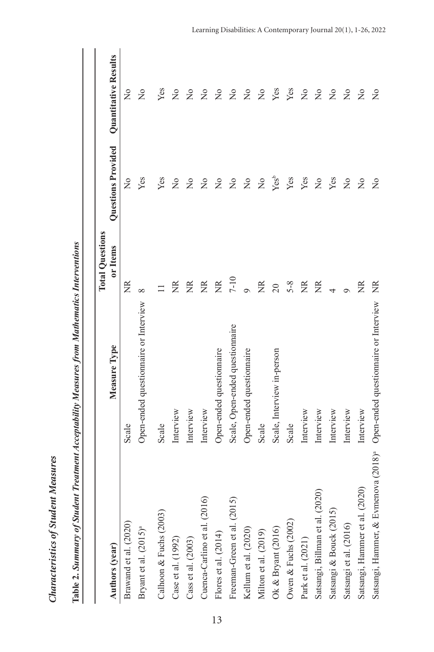|                                                  |                                       | <b>Total Questions</b> |                    |                      |
|--------------------------------------------------|---------------------------------------|------------------------|--------------------|----------------------|
| Authors (year)                                   | Measure Type                          | or Items               | Questions Provided | Quantitative Results |
| Brawand et al. (2020)                            | Scale                                 | Ř                      | $\frac{1}{2}$      | $\tilde{z}$          |
| Bryant et al. (2015) <sup>a</sup>                | Open-ended questionnaire or Interview | $\infty$               | Yes                | $\frac{1}{2}$        |
| Calhoon & Fuchs (2003)                           | Scale                                 |                        | Yes                | Yes                  |
| Case et al. (1992)                               | Interview                             | ã                      | ž                  | ž                    |
| Cass et al. (2003)                               | Interview                             | ã                      | ž                  | ž                    |
| Cuenca-Carlino et al. (2016)                     | Interview                             | $\frac{R}{R}$          | ž                  | $\frac{1}{2}$        |
| Flores et al. (2014)                             | Open-ended questionnaire              | $\widetilde{R}$        | $\frac{1}{2}$      | $\frac{1}{2}$        |
| Freeman-Green et al. (2015)                      | Scale, Open-ended questionnaire       | $7 - 10$               | $\frac{1}{2}$      | $\tilde{z}$          |
| Kellum et al. (2020)                             | Open-ended questionnaire              |                        | $\frac{1}{2}$      | ž                    |
| Milton et al. (2019)                             | Scale                                 | $\widetilde{R}$        | $\tilde{z}$        | $\frac{1}{2}$        |
| Ok $\&$ Bryant (2016)                            | Scale, Interview in-person            | 20                     | Yes <sup>b</sup>   | Yes                  |
| Owen & Fuchs (2002)                              | Scale                                 | $5 - 8$                | Yes                | Yes                  |
| Park et al. (2021)                               | Interview                             | ã                      | Yes                | $\frac{1}{2}$        |
| Satsangi, Billman et al. (2020)                  | Interview                             | ã                      | $\frac{1}{2}$      | $\frac{1}{2}$        |
| Satsangi & Bouck (2015)                          | Interview                             | 4                      | Yes                | $\overline{a}$       |
| Satsangi et al. (2016)                           | Interview                             | Ó                      | $\frac{1}{2}$      | $\frac{1}{2}$        |
| Satsangi, Hammer et al. (2020)                   | Interview                             | Ž                      | $\overline{a}$     | $\frac{1}{2}$        |
| Satsangi, Hammer, & Evmenova (2018) <sup>ª</sup> | Open-ended questionnaire or Interview | ã                      | $\frac{1}{2}$      | ž                    |

Table 2. Summary of Student Treatment Acceptability Measures from Mathematics Interventions **Table 2.** *Summary of Student Treatment Acceptability Measures from Mathematics Interventions*

*Characteristics of Student Measures*

Characteristics of Student Measures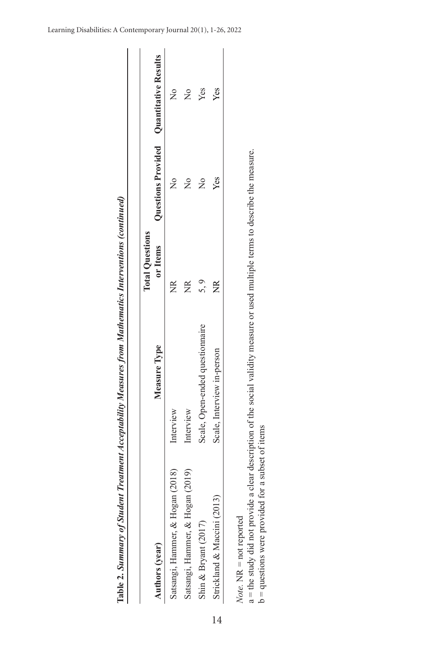|                                  |                                 | <b>Total Questions</b> |                                                  |               |
|----------------------------------|---------------------------------|------------------------|--------------------------------------------------|---------------|
| Authors (year)                   | Measure Type                    |                        | or Items Questions Provided Quantitative Results |               |
| Satsangi, Hammer, & Hogan (2018) | Interview                       | ž                      |                                                  | $\tilde{z}$   |
| Satsangi, Hammer, & Hogan (2019) | Interview                       | ã                      |                                                  | $\frac{1}{2}$ |
| Shin & Bryant (2017)             | Scale, Open-ended questionnaire | 5.9                    | $\frac{1}{2}$                                    | Yes           |
| Strickland & Maccini (2013)      | Scale, Interview in-person      | $\widetilde{\Xi}$      | Yes                                              | Yes           |

Table 2. Summary of Student Treatment Acceptability Measures from Mathematics Interventions (continued)

*Summary of Student Treatment Acceptability Measures from Mathematics Interventions (continued)*

**Table 2.** 

Note. NR = not reported *Note.* NR = not reported

a = the study did not provide a clear description of the social validity measure or used multiple terms to describe the measure. a = the study did not provide a clear description of the social validity measure or used multiple terms to describe the measure.  $b =$  questions were provided for a subset of items b = questions were provided for a subset of items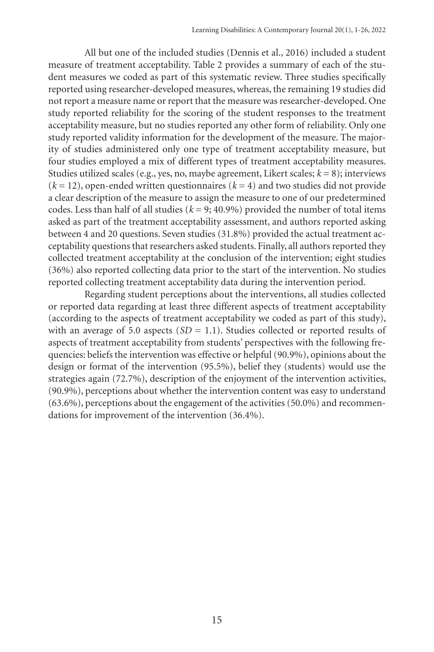All but one of the included studies (Dennis et al., 2016) included a student measure of treatment acceptability. Table 2 provides a summary of each of the student measures we coded as part of this systematic review. Three studies specifically reported using researcher-developed measures, whereas, the remaining 19 studies did not report a measure name or report that the measure was researcher-developed. One study reported reliability for the scoring of the student responses to the treatment acceptability measure, but no studies reported any other form of reliability. Only one study reported validity information for the development of the measure. The majority of studies administered only one type of treatment acceptability measure, but four studies employed a mix of different types of treatment acceptability measures. Studies utilized scales (e.g., yes, no, maybe agreement, Likert scales; *k* = 8); interviews  $(k = 12)$ , open-ended written questionnaires  $(k = 4)$  and two studies did not provide a clear description of the measure to assign the measure to one of our predetermined codes. Less than half of all studies ( $k = 9$ ; 40.9%) provided the number of total items asked as part of the treatment acceptability assessment, and authors reported asking between 4 and 20 questions. Seven studies (31.8%) provided the actual treatment acceptability questions that researchers asked students. Finally, all authors reported they collected treatment acceptability at the conclusion of the intervention; eight studies (36%) also reported collecting data prior to the start of the intervention. No studies reported collecting treatment acceptability data during the intervention period.

Regarding student perceptions about the interventions, all studies collected or reported data regarding at least three different aspects of treatment acceptability (according to the aspects of treatment acceptability we coded as part of this study), with an average of 5.0 aspects  $(SD = 1.1)$ . Studies collected or reported results of aspects of treatment acceptability from students' perspectives with the following frequencies: beliefs the intervention was effective or helpful (90.9%), opinions about the design or format of the intervention (95.5%), belief they (students) would use the strategies again (72.7%), description of the enjoyment of the intervention activities, (90.9%), perceptions about whether the intervention content was easy to understand (63.6%), perceptions about the engagement of the activities (50.0%) and recommendations for improvement of the intervention (36.4%).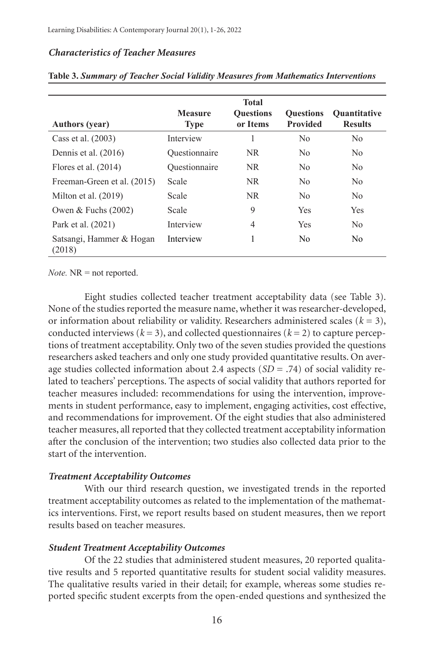## *Characteristics of Teacher Measures*

| <b>Authors</b> (year)              | <b>Measure</b><br><b>Type</b> | <b>Total</b><br><b>Ouestions</b><br>or Items | <b>Ouestions</b><br><b>Provided</b> | <b>Ouantitative</b><br><b>Results</b> |
|------------------------------------|-------------------------------|----------------------------------------------|-------------------------------------|---------------------------------------|
| Cass et al. (2003)                 | Interview                     |                                              | N <sub>0</sub>                      | N <sub>0</sub>                        |
| Dennis et al. $(2016)$             | Ouestionnaire                 | NR.                                          | N <sub>0</sub>                      | N <sub>0</sub>                        |
| Flores et al. $(2014)$             | Ouestionnaire                 | NR.                                          | N <sub>0</sub>                      | N <sub>0</sub>                        |
| Freeman-Green et al. (2015)        | Scale                         | NR.                                          | N <sub>0</sub>                      | No.                                   |
| Milton et al. $(2019)$             | Scale                         | <b>NR</b>                                    | N <sub>0</sub>                      | N <sub>0</sub>                        |
| Owen $&$ Fuchs (2002)              | Scale                         | 9                                            | <b>Yes</b>                          | <b>Yes</b>                            |
| Park et al. (2021)                 | Interview                     | 4                                            | <b>Yes</b>                          | N <sub>0</sub>                        |
| Satsangi, Hammer & Hogan<br>(2018) | Interview                     |                                              | N <sub>0</sub>                      | N <sub>0</sub>                        |

**Table 3.** *Summary of Teacher Social Validity Measures from Mathematics Interventions*

*Note.* NR = not reported.

Eight studies collected teacher treatment acceptability data (see Table 3). None of the studies reported the measure name, whether it was researcher-developed, or information about reliability or validity. Researchers administered scales  $(k = 3)$ , conducted interviews  $(k = 3)$ , and collected questionnaires  $(k = 2)$  to capture perceptions of treatment acceptability. Only two of the seven studies provided the questions researchers asked teachers and only one study provided quantitative results. On average studies collected information about 2.4 aspects  $(SD = .74)$  of social validity related to teachers' perceptions. The aspects of social validity that authors reported for teacher measures included: recommendations for using the intervention, improvements in student performance, easy to implement, engaging activities, cost effective, and recommendations for improvement. Of the eight studies that also administered teacher measures, all reported that they collected treatment acceptability information after the conclusion of the intervention; two studies also collected data prior to the start of the intervention.

## *Treatment Acceptability Outcomes*

With our third research question, we investigated trends in the reported treatment acceptability outcomes as related to the implementation of the mathematics interventions. First, we report results based on student measures, then we report results based on teacher measures.

## *Student Treatment Acceptability Outcomes*

Of the 22 studies that administered student measures, 20 reported qualitative results and 5 reported quantitative results for student social validity measures. The qualitative results varied in their detail; for example, whereas some studies reported specific student excerpts from the open-ended questions and synthesized the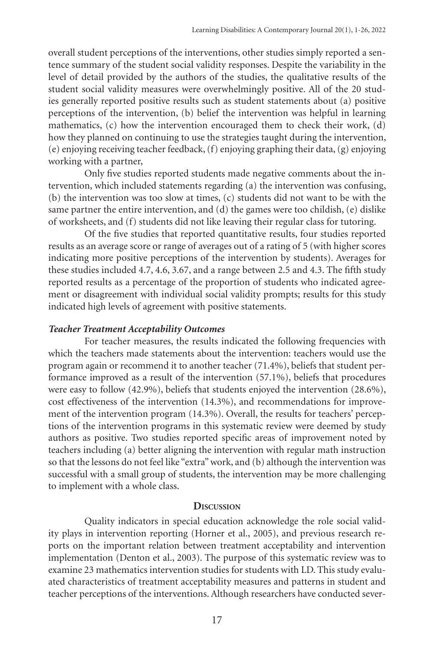overall student perceptions of the interventions, other studies simply reported a sentence summary of the student social validity responses. Despite the variability in the level of detail provided by the authors of the studies, the qualitative results of the student social validity measures were overwhelmingly positive. All of the 20 studies generally reported positive results such as student statements about (a) positive perceptions of the intervention, (b) belief the intervention was helpful in learning mathematics, (c) how the intervention encouraged them to check their work, (d) how they planned on continuing to use the strategies taught during the intervention, (e) enjoying receiving teacher feedback, (f) enjoying graphing their data, (g) enjoying working with a partner,

Only five studies reported students made negative comments about the intervention, which included statements regarding (a) the intervention was confusing, (b) the intervention was too slow at times, (c) students did not want to be with the same partner the entire intervention, and (d) the games were too childish, (e) dislike of worksheets, and (f) students did not like leaving their regular class for tutoring.

Of the five studies that reported quantitative results, four studies reported results as an average score or range of averages out of a rating of 5 (with higher scores indicating more positive perceptions of the intervention by students). Averages for these studies included 4.7, 4.6, 3.67, and a range between 2.5 and 4.3. The fifth study reported results as a percentage of the proportion of students who indicated agreement or disagreement with individual social validity prompts; results for this study indicated high levels of agreement with positive statements.

#### *Teacher Treatment Acceptability Outcomes*

For teacher measures, the results indicated the following frequencies with which the teachers made statements about the intervention: teachers would use the program again or recommend it to another teacher (71.4%), beliefs that student performance improved as a result of the intervention (57.1%), beliefs that procedures were easy to follow (42.9%), beliefs that students enjoyed the intervention (28.6%), cost effectiveness of the intervention (14.3%), and recommendations for improvement of the intervention program (14.3%). Overall, the results for teachers' perceptions of the intervention programs in this systematic review were deemed by study authors as positive. Two studies reported specific areas of improvement noted by teachers including (a) better aligning the intervention with regular math instruction so that the lessons do not feel like "extra" work, and (b) although the intervention was successful with a small group of students, the intervention may be more challenging to implement with a whole class.

#### **Discussion**

Quality indicators in special education acknowledge the role social validity plays in intervention reporting (Horner et al., 2005), and previous research reports on the important relation between treatment acceptability and intervention implementation (Denton et al., 2003). The purpose of this systematic review was to examine 23 mathematics intervention studies for students with LD. This study evaluated characteristics of treatment acceptability measures and patterns in student and teacher perceptions of the interventions. Although researchers have conducted sever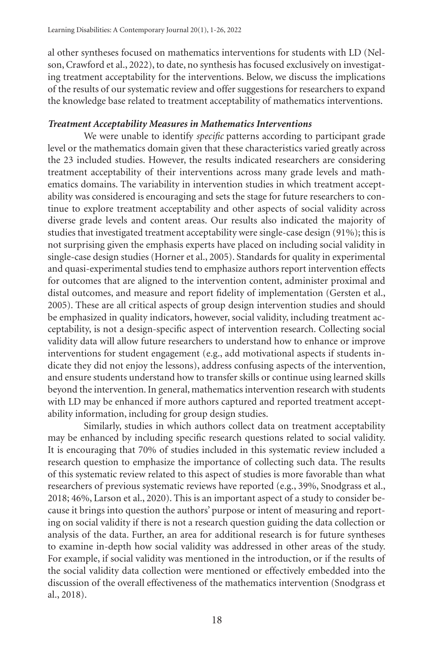al other syntheses focused on mathematics interventions for students with LD (Nelson, Crawford et al., 2022), to date, no synthesis has focused exclusively on investigating treatment acceptability for the interventions. Below, we discuss the implications of the results of our systematic review and offer suggestions for researchers to expand the knowledge base related to treatment acceptability of mathematics interventions.

# *Treatment Acceptability Measures in Mathematics Interventions*

We were unable to identify *specific* patterns according to participant grade level or the mathematics domain given that these characteristics varied greatly across the 23 included studies. However, the results indicated researchers are considering treatment acceptability of their interventions across many grade levels and mathematics domains. The variability in intervention studies in which treatment acceptability was considered is encouraging and sets the stage for future researchers to continue to explore treatment acceptability and other aspects of social validity across diverse grade levels and content areas. Our results also indicated the majority of studies that investigated treatment acceptability were single-case design (91%); this is not surprising given the emphasis experts have placed on including social validity in single-case design studies (Horner et al., 2005). Standards for quality in experimental and quasi-experimental studies tend to emphasize authors report intervention effects for outcomes that are aligned to the intervention content, administer proximal and distal outcomes, and measure and report fidelity of implementation (Gersten et al., 2005). These are all critical aspects of group design intervention studies and should be emphasized in quality indicators, however, social validity, including treatment acceptability, is not a design-specific aspect of intervention research. Collecting social validity data will allow future researchers to understand how to enhance or improve interventions for student engagement (e.g., add motivational aspects if students indicate they did not enjoy the lessons), address confusing aspects of the intervention, and ensure students understand how to transfer skills or continue using learned skills beyond the intervention. In general, mathematics intervention research with students with LD may be enhanced if more authors captured and reported treatment acceptability information, including for group design studies.

Similarly, studies in which authors collect data on treatment acceptability may be enhanced by including specific research questions related to social validity. It is encouraging that 70% of studies included in this systematic review included a research question to emphasize the importance of collecting such data. The results of this systematic review related to this aspect of studies is more favorable than what researchers of previous systematic reviews have reported (e.g., 39%, Snodgrass et al., 2018; 46%, Larson et al., 2020). This is an important aspect of a study to consider because it brings into question the authors' purpose or intent of measuring and reporting on social validity if there is not a research question guiding the data collection or analysis of the data. Further, an area for additional research is for future syntheses to examine in-depth how social validity was addressed in other areas of the study. For example, if social validity was mentioned in the introduction, or if the results of the social validity data collection were mentioned or effectively embedded into the discussion of the overall effectiveness of the mathematics intervention (Snodgrass et al., 2018).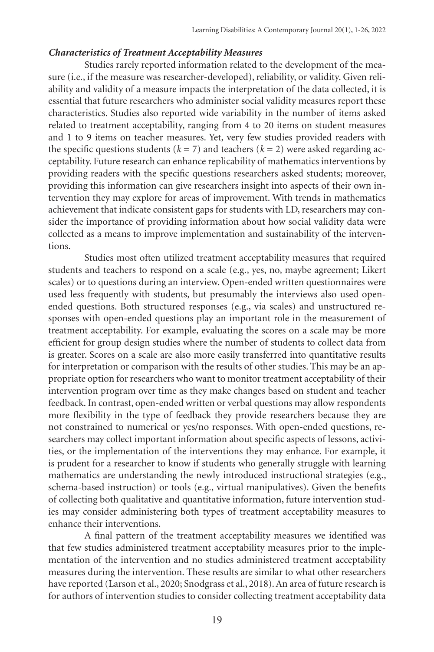# *Characteristics of Treatment Acceptability Measures*

Studies rarely reported information related to the development of the measure (i.e., if the measure was researcher-developed), reliability, or validity. Given reliability and validity of a measure impacts the interpretation of the data collected, it is essential that future researchers who administer social validity measures report these characteristics. Studies also reported wide variability in the number of items asked related to treatment acceptability, ranging from 4 to 20 items on student measures and 1 to 9 items on teacher measures. Yet, very few studies provided readers with the specific questions students ( $k = 7$ ) and teachers ( $k = 2$ ) were asked regarding acceptability. Future research can enhance replicability of mathematics interventions by providing readers with the specific questions researchers asked students; moreover, providing this information can give researchers insight into aspects of their own intervention they may explore for areas of improvement. With trends in mathematics achievement that indicate consistent gaps for students with LD, researchers may consider the importance of providing information about how social validity data were collected as a means to improve implementation and sustainability of the interventions.

Studies most often utilized treatment acceptability measures that required students and teachers to respond on a scale (e.g., yes, no, maybe agreement; Likert scales) or to questions during an interview. Open-ended written questionnaires were used less frequently with students, but presumably the interviews also used openended questions. Both structured responses (e.g., via scales) and unstructured responses with open-ended questions play an important role in the measurement of treatment acceptability. For example, evaluating the scores on a scale may be more efficient for group design studies where the number of students to collect data from is greater. Scores on a scale are also more easily transferred into quantitative results for interpretation or comparison with the results of other studies. This may be an appropriate option for researchers who want to monitor treatment acceptability of their intervention program over time as they make changes based on student and teacher feedback. In contrast, open-ended written or verbal questions may allow respondents more flexibility in the type of feedback they provide researchers because they are not constrained to numerical or yes/no responses. With open-ended questions, researchers may collect important information about specific aspects of lessons, activities, or the implementation of the interventions they may enhance. For example, it is prudent for a researcher to know if students who generally struggle with learning mathematics are understanding the newly introduced instructional strategies (e.g., schema-based instruction) or tools (e.g., virtual manipulatives). Given the benefits of collecting both qualitative and quantitative information, future intervention studies may consider administering both types of treatment acceptability measures to enhance their interventions.

A final pattern of the treatment acceptability measures we identified was that few studies administered treatment acceptability measures prior to the implementation of the intervention and no studies administered treatment acceptability measures during the intervention. These results are similar to what other researchers have reported (Larson et al., 2020; Snodgrass et al., 2018). An area of future research is for authors of intervention studies to consider collecting treatment acceptability data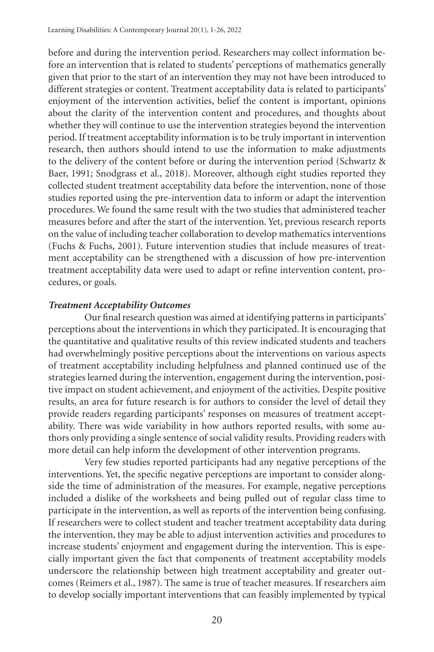before and during the intervention period. Researchers may collect information before an intervention that is related to students' perceptions of mathematics generally given that prior to the start of an intervention they may not have been introduced to different strategies or content. Treatment acceptability data is related to participants' enjoyment of the intervention activities, belief the content is important, opinions about the clarity of the intervention content and procedures, and thoughts about whether they will continue to use the intervention strategies beyond the intervention period. If treatment acceptability information is to be truly important in intervention research, then authors should intend to use the information to make adjustments to the delivery of the content before or during the intervention period (Schwartz & Baer, 1991; Snodgrass et al., 2018). Moreover, although eight studies reported they collected student treatment acceptability data before the intervention, none of those studies reported using the pre-intervention data to inform or adapt the intervention procedures. We found the same result with the two studies that administered teacher measures before and after the start of the intervention. Yet, previous research reports on the value of including teacher collaboration to develop mathematics interventions (Fuchs & Fuchs, 2001). Future intervention studies that include measures of treatment acceptability can be strengthened with a discussion of how pre-intervention treatment acceptability data were used to adapt or refine intervention content, procedures, or goals.

# *Treatment Acceptability Outcomes*

Our final research question was aimed at identifying patterns in participants' perceptions about the interventions in which they participated. It is encouraging that the quantitative and qualitative results of this review indicated students and teachers had overwhelmingly positive perceptions about the interventions on various aspects of treatment acceptability including helpfulness and planned continued use of the strategies learned during the intervention, engagement during the intervention, positive impact on student achievement, and enjoyment of the activities. Despite positive results, an area for future research is for authors to consider the level of detail they provide readers regarding participants' responses on measures of treatment acceptability. There was wide variability in how authors reported results, with some authors only providing a single sentence of social validity results. Providing readers with more detail can help inform the development of other intervention programs.

Very few studies reported participants had any negative perceptions of the interventions. Yet, the specific negative perceptions are important to consider alongside the time of administration of the measures. For example, negative perceptions included a dislike of the worksheets and being pulled out of regular class time to participate in the intervention, as well as reports of the intervention being confusing. If researchers were to collect student and teacher treatment acceptability data during the intervention, they may be able to adjust intervention activities and procedures to increase students' enjoyment and engagement during the intervention. This is especially important given the fact that components of treatment acceptability models underscore the relationship between high treatment acceptability and greater outcomes (Reimers et al., 1987). The same is true of teacher measures. If researchers aim to develop socially important interventions that can feasibly implemented by typical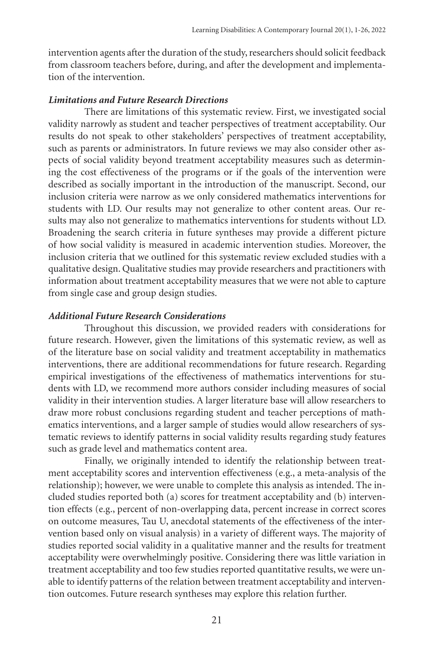intervention agents after the duration of the study, researchers should solicit feedback from classroom teachers before, during, and after the development and implementation of the intervention.

## *Limitations and Future Research Directions*

There are limitations of this systematic review. First, we investigated social validity narrowly as student and teacher perspectives of treatment acceptability. Our results do not speak to other stakeholders' perspectives of treatment acceptability, such as parents or administrators. In future reviews we may also consider other aspects of social validity beyond treatment acceptability measures such as determining the cost effectiveness of the programs or if the goals of the intervention were described as socially important in the introduction of the manuscript. Second, our inclusion criteria were narrow as we only considered mathematics interventions for students with LD. Our results may not generalize to other content areas. Our results may also not generalize to mathematics interventions for students without LD. Broadening the search criteria in future syntheses may provide a different picture of how social validity is measured in academic intervention studies. Moreover, the inclusion criteria that we outlined for this systematic review excluded studies with a qualitative design. Qualitative studies may provide researchers and practitioners with information about treatment acceptability measures that we were not able to capture from single case and group design studies.

# *Additional Future Research Considerations*

Throughout this discussion, we provided readers with considerations for future research. However, given the limitations of this systematic review, as well as of the literature base on social validity and treatment acceptability in mathematics interventions, there are additional recommendations for future research. Regarding empirical investigations of the effectiveness of mathematics interventions for students with LD, we recommend more authors consider including measures of social validity in their intervention studies. A larger literature base will allow researchers to draw more robust conclusions regarding student and teacher perceptions of mathematics interventions, and a larger sample of studies would allow researchers of systematic reviews to identify patterns in social validity results regarding study features such as grade level and mathematics content area.

Finally, we originally intended to identify the relationship between treatment acceptability scores and intervention effectiveness (e.g., a meta-analysis of the relationship); however, we were unable to complete this analysis as intended. The included studies reported both (a) scores for treatment acceptability and (b) intervention effects (e.g., percent of non-overlapping data, percent increase in correct scores on outcome measures, Tau U, anecdotal statements of the effectiveness of the intervention based only on visual analysis) in a variety of different ways. The majority of studies reported social validity in a qualitative manner and the results for treatment acceptability were overwhelmingly positive. Considering there was little variation in treatment acceptability and too few studies reported quantitative results, we were unable to identify patterns of the relation between treatment acceptability and intervention outcomes. Future research syntheses may explore this relation further.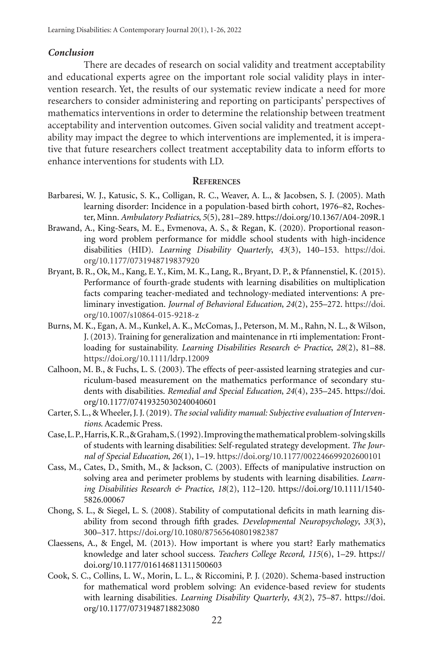#### *Conclusion*

There are decades of research on social validity and treatment acceptability and educational experts agree on the important role social validity plays in intervention research. Yet, the results of our systematic review indicate a need for more researchers to consider administering and reporting on participants' perspectives of mathematics interventions in order to determine the relationship between treatment acceptability and intervention outcomes. Given social validity and treatment acceptability may impact the degree to which interventions are implemented, it is imperative that future researchers collect treatment acceptability data to inform efforts to enhance interventions for students with LD.

#### **References**

- Barbaresi, W. J., Katusic, S. K., Colligan, R. C., Weaver, A. L., & Jacobsen, S. J. (2005). Math learning disorder: Incidence in a population-based birth cohort, 1976–82, Rochester, Minn. *Ambulatory Pediatrics*, *5*(5), 281–289. https://doi.org/10.1367/A04-209R.1
- Brawand, A., King-Sears, M. E., Evmenova, A. S., & Regan, K. (2020). Proportional reasoning word problem performance for middle school students with high-incidence disabilities (HID). *Learning Disability Quarterly*, *43*(3), 140–153. https://doi. org/10.1177/0731948719837920
- Bryant, B. R., Ok, M., Kang, E. Y., Kim, M. K., Lang, R., Bryant, D. P., & Pfannenstiel, K. (2015). Performance of fourth-grade students with learning disabilities on multiplication facts comparing teacher-mediated and technology-mediated interventions: A preliminary investigation. *Journal of Behavioral Education*, *24*(2), 255–272. https://doi. org/10.1007/s10864-015-9218-z
- Burns, M. K., Egan, A. M., Kunkel, A. K., McComas, J., Peterson, M. M., Rahn, N. L., & Wilson, J. (2013). Training for generalization and maintenance in rti implementation: Frontloading for sustainability. *Learning Disabilities Research & Practice*, *28*(2), 81–88. https://doi.org/10.1111/ldrp.12009
- Calhoon, M. B., & Fuchs, L. S. (2003). The effects of peer-assisted learning strategies and curriculum-based measurement on the mathematics performance of secondary students with disabilities. *Remedial and Special Education*, *24*(4), 235–245. https://doi. org/10.1177/07419325030240040601
- Carter, S. L., & Wheeler, J. J. (2019). *The social validity manual: Subjective evaluation of Interventions*. Academic Press.
- Case, L. P., Harris, K. R., & Graham, S. (1992). Improving the mathematical problem-solving skills of students with learning disabilities: Self-regulated strategy development. *The Journal of Special Education*, *26*(1), 1–19. https://doi.org/10.1177/002246699202600101
- Cass, M., Cates, D., Smith, M., & Jackson, C. (2003). Effects of manipulative instruction on solving area and perimeter problems by students with learning disabilities. *Learning Disabilities Research & Practice*, *18*(2), 112–120. https://doi.org/10.1111/1540- 5826.00067
- Chong, S. L., & Siegel, L. S. (2008). Stability of computational deficits in math learning disability from second through fifth grades. *Developmental Neuropsychology*, *33*(3), 300–317. https://doi.org/10.1080/87565640801982387
- Claessens, A., & Engel, M. (2013). How important is where you start? Early mathematics knowledge and later school success. *Teachers College Record, 115*(6), 1–29. https:// doi.org/10.1177/016146811311500603
- Cook, S. C., Collins, L. W., Morin, L. L., & Riccomini, P. J. (2020). Schema-based instruction for mathematical word problem solving: An evidence-based review for students with learning disabilities. *Learning Disability Quarterly*, *43*(2), 75–87. https://doi. org/10.1177/0731948718823080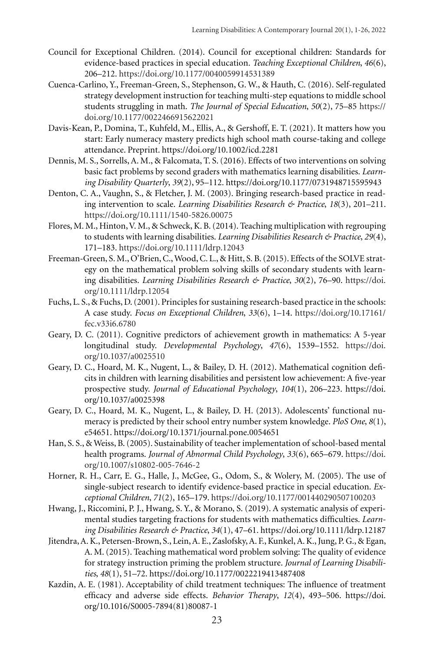- Council for Exceptional Children. (2014). Council for exceptional children: Standards for evidence-based practices in special education. *Teaching Exceptional Children*, *46*(6), 206–212. https://doi.org/10.1177/0040059914531389
- Cuenca-Carlino, Y., Freeman-Green, S., Stephenson, G. W., & Hauth, C. (2016). Self-regulated strategy development instruction for teaching multi-step equations to middle school students struggling in math. *The Journal of Special Education*, *50*(2), 75–85 https:// doi.org/10.1177/0022466915622021
- Davis-Kean, P., Domina, T., Kuhfeld, M., Ellis, A., & Gershoff, E. T. (2021). It matters how you start: Early numeracy mastery predicts high school math course-taking and college attendance. Preprint. https://doi.org/10.1002/icd.2281
- Dennis, M. S., Sorrells, A. M., & Falcomata, T. S. (2016). Effects of two interventions on solving basic fact problems by second graders with mathematics learning disabilities. *Learning Disability Quarterly*, *39*(2), 95–112. https://doi.org/10.1177/0731948715595943
- Denton, C. A., Vaughn, S., & Fletcher, J. M. (2003). Bringing research-based practice in reading intervention to scale. *Learning Disabilities Research & Practice*, *18*(3), 201–211. https://doi.org/10.1111/1540-5826.00075
- Flores, M. M., Hinton, V. M., & Schweck, K. B. (2014). Teaching multiplication with regrouping to students with learning disabilities. *Learning Disabilities Research & Practice*, *29*(4), 171–183. https://doi.org/10.1111/ldrp.12043
- Freeman-Green, S. M., O'Brien, C., Wood, C. L., & Hitt, S. B. (2015). Effects of the SOLVE strategy on the mathematical problem solving skills of secondary students with learning disabilities. *Learning Disabilities Research & Practice*, *30*(2), 76–90. https://doi. org/10.1111/ldrp.12054
- Fuchs, L. S., & Fuchs, D. (2001). Principles for sustaining research-based practice in the schools: A case study. *Focus on Exceptional Children*, *33*(6), 1–14. https://doi.org/10.17161/ fec.v33i6.6780
- Geary, D. C. (2011). Cognitive predictors of achievement growth in mathematics: A 5-year longitudinal study. *Developmental Psychology*, *47*(6), 1539–1552. https://doi. org/10.1037/a0025510
- Geary, D. C., Hoard, M. K., Nugent, L., & Bailey, D. H. (2012). Mathematical cognition deficits in children with learning disabilities and persistent low achievement: A five-year prospective study. *Journal of Educational Psychology*, *104*(1), 206–223. https://doi. org/10.1037/a0025398
- Geary, D. C., Hoard, M. K., Nugent, L., & Bailey, D. H. (2013). Adolescents' functional numeracy is predicted by their school entry number system knowledge. *PloS One*, *8*(1), e54651. https://doi.org/10.1371/journal.pone.0054651
- Han, S. S., & Weiss, B. (2005). Sustainability of teacher implementation of school-based mental health programs. *Journal of Abnormal Child Psychology*, *33*(6), 665–679. https://doi. org/10.1007/s10802-005-7646-2
- Horner, R. H., Carr, E. G., Halle, J., McGee, G., Odom, S., & Wolery, M. (2005). The use of single-subject research to identify evidence-based practice in special education. *Exceptional Children*, *71*(2), 165–179. https://doi.org/10.1177/001440290507100203
- Hwang, J., Riccomini, P. J., Hwang, S. Y., & Morano, S. (2019). A systematic analysis of experimental studies targeting fractions for students with mathematics difficulties. *Learning Disabilities Research & Practice*, *34*(1), 47–61. https://doi.org/10.1111/ldrp.12187
- Jitendra, A. K., Petersen-Brown, S., Lein, A. E., Zaslofsky, A. F., Kunkel, A. K., Jung, P. G., & Egan, A. M. (2015). Teaching mathematical word problem solving: The quality of evidence for strategy instruction priming the problem structure. *Journal of Learning Disabilities*, *48*(1), 51–72. https://doi.org/10.1177/0022219413487408
- Kazdin, A. E. (1981). Acceptability of child treatment techniques: The influence of treatment efficacy and adverse side effects. *Behavior Therapy*, *12*(4), 493–506. https://doi. org/10.1016/S0005-7894(81)80087-1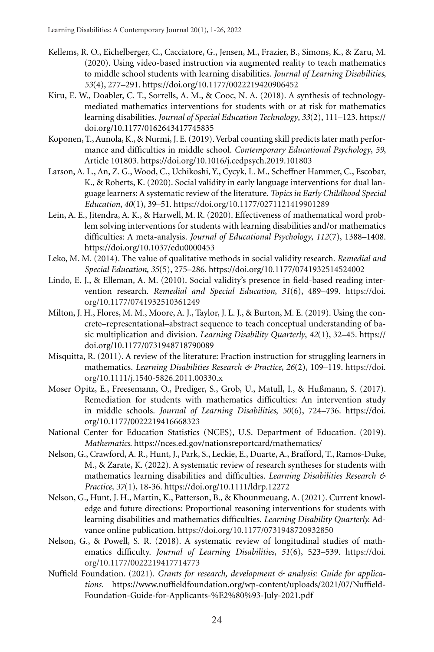- Kellems, R. O., Eichelberger, C., Cacciatore, G., Jensen, M., Frazier, B., Simons, K., & Zaru, M. (2020). Using video-based instruction via augmented reality to teach mathematics to middle school students with learning disabilities. *Journal of Learning Disabilities*, *53*(4), 277–291. https://doi.org/10.1177/0022219420906452
- Kiru, E. W., Doabler, C. T., Sorrells, A. M., & Cooc, N. A. (2018). A synthesis of technologymediated mathematics interventions for students with or at risk for mathematics learning disabilities. *Journal of Special Education Technology*, *33*(2), 111–123. https:// doi.org/10.1177/0162643417745835
- Koponen, T., Aunola, K., & Nurmi, J. E. (2019). Verbal counting skill predicts later math performance and difficulties in middle school. *Contemporary Educational Psychology*, *59*, Article 101803. https://doi.org/10.1016/j.cedpsych.2019.101803
- Larson, A. L., An, Z. G., Wood, C., Uchikoshi, Y., Cycyk, L. M., Scheffner Hammer, C., Escobar, K., & Roberts, K. (2020). Social validity in early language interventions for dual language learners: A systematic review of the literature. *Topics in Early Childhood Special Education*, *40*(1), 39–51. https://doi.org/10.1177/0271121419901289
- Lein, A. E., Jitendra, A. K., & Harwell, M. R. (2020). Effectiveness of mathematical word problem solving interventions for students with learning disabilities and/or mathematics difficulties: A meta-analysis. *Journal of Educational Psychology*, *112*(7), 1388–1408. https://doi.org/10.1037/edu0000453
- Leko, M. M. (2014). The value of qualitative methods in social validity research. *Remedial and Special Education*, *35*(5), 275–286. https://doi.org/10.1177/0741932514524002
- Lindo, E. J., & Elleman, A. M. (2010). Social validity's presence in field-based reading intervention research. *Remedial and Special Education*, *31*(6), 489–499. https://doi. org/10.1177/0741932510361249
- Milton, J. H., Flores, M. M., Moore, A. J., Taylor, J. L. J., & Burton, M. E. (2019). Using the concrete–representational–abstract sequence to teach conceptual understanding of basic multiplication and division. *Learning Disability Quarterly*, *42*(1), 32–45. https:// doi.org/10.1177/0731948718790089
- Misquitta, R. (2011). A review of the literature: Fraction instruction for struggling learners in mathematics. *Learning Disabilities Research & Practice*, *26*(2), 109–119. https://doi. org/10.1111/j.1540-5826.2011.00330.x
- Moser Opitz, E., Freesemann, O., Prediger, S., Grob, U., Matull, I., & Hußmann, S. (2017). Remediation for students with mathematics difficulties: An intervention study in middle schools. *Journal of Learning Disabilities*, *50*(6), 724–736. https://doi. org/10.1177/0022219416668323
- National Center for Education Statistics (NCES), U.S. Department of Education. (2019). *Mathematics*. https://nces.ed.gov/nationsreportcard/mathematics/
- Nelson, G., Crawford, A. R., Hunt, J., Park, S., Leckie, E., Duarte, A., Brafford, T., Ramos-Duke, M., & Zarate, K. (2022). A systematic review of research syntheses for students with mathematics learning disabilities and difficulties. *Learning Disabilities Research & Practice, 37*(1), 18-36. https://doi.org/10.1111/ldrp.12272
- Nelson, G., Hunt, J. H., Martin, K., Patterson, B., & Khounmeuang, A. (2021). Current knowledge and future directions: Proportional reasoning interventions for students with learning disabilities and mathematics difficulties. *Learning Disability Quarterly.* Advance online publication. https://doi.org/10.1177/0731948720932850
- Nelson, G., & Powell, S. R. (2018). A systematic review of longitudinal studies of mathematics difficulty. *Journal of Learning Disabilities*, *51*(6), 523–539. https://doi. org/10.1177/0022219417714773
- Nuffield Foundation. (2021). *Grants for research, development & analysis: Guide for applications*. https://www.nuffieldfoundation.org/wp-content/uploads/2021/07/Nuffield-Foundation-Guide-for-Applicants-%E2%80%93-July-2021.pdf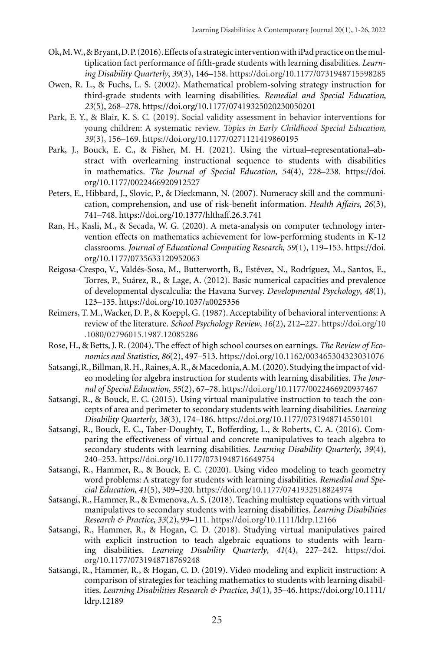- Ok, M. W., & Bryant, D. P. (2016). Effects of a strategic intervention with iPad practice on the multiplication fact performance of fifth-grade students with learning disabilities. *Learning Disability Quarterly*, *39*(3), 146–158. https://doi.org/10.1177/0731948715598285
- Owen, R. L., & Fuchs, L. S. (2002). Mathematical problem-solving strategy instruction for third-grade students with learning disabilities. *Remedial and Special Education*, *23*(5), 268–278. https://doi.org/10.1177/07419325020230050201
- Park, E. Y., & Blair, K. S. C. (2019). Social validity assessment in behavior interventions for young children: A systematic review. *Topics in Early Childhood Special Education*, *39*(3), 156–169. https://doi.org/10.1177/0271121419860195
- Park, J., Bouck, E. C., & Fisher, M. H. (2021). Using the virtual–representational–abstract with overlearning instructional sequence to students with disabilities in mathematics. *The Journal of Special Education*, *54*(4), 228–238. https://doi. org/10.1177/0022466920912527
- Peters, E., Hibbard, J., Slovic, P., & Dieckmann, N. (2007). Numeracy skill and the communication, comprehension, and use of risk-benefit information. *Health Affairs*, *26*(3), 741–748. https://doi.org/10.1377/hlthaff.26.3.741
- Ran, H., Kasli, M., & Secada, W. G. (2020). A meta-analysis on computer technology intervention effects on mathematics achievement for low-performing students in K-12 classrooms. *Journal of Educational Computing Research*, *59*(1), 119–153. https://doi. org/10.1177/0735633120952063
- Reigosa-Crespo, V., Valdés-Sosa, M., Butterworth, B., Estévez, N., Rodríguez, M., Santos, E., Torres, P., Suárez, R., & Lage, A. (2012). Basic numerical capacities and prevalence of developmental dyscalculia: the Havana Survey. *Developmental Psychology*, *48*(1), 123–135. https://doi.org/10.1037/a0025356
- Reimers, T. M., Wacker, D. P., & Koeppl, G. (1987). Acceptability of behavioral interventions: A review of the literature. *School Psychology Review*, *16*(2), 212–227. https://doi.org/10 .1080/02796015.1987.12085286
- Rose, H., & Betts, J. R. (2004). The effect of high school courses on earnings. *The Review of Economics and Statistics*, *86*(2), 497–513. https://doi.org/10.1162/003465304323031076
- Satsangi, R., Billman, R. H., Raines, A. R., & Macedonia, A. M. (2020). Studying the impact of video modeling for algebra instruction for students with learning disabilities. *The Journal of Special Education*, *55*(2), 67–78. https://doi.org/10.1177/0022466920937467
- Satsangi, R., & Bouck, E. C. (2015). Using virtual manipulative instruction to teach the concepts of area and perimeter to secondary students with learning disabilities. *Learning Disability Quarterly*, *38*(3), 174–186. https://doi.org/10.1177/0731948714550101
- Satsangi, R., Bouck, E. C., Taber-Doughty, T., Bofferding, L., & Roberts, C. A. (2016). Comparing the effectiveness of virtual and concrete manipulatives to teach algebra to secondary students with learning disabilities. *Learning Disability Quarterly*, *39*(4), 240–253. https://doi.org/10.1177/0731948716649754
- Satsangi, R., Hammer, R., & Bouck, E. C. (2020). Using video modeling to teach geometry word problems: A strategy for students with learning disabilities. *Remedial and Special Education*, *41*(5), 309–320. https://doi.org/10.1177/0741932518824974
- Satsangi, R., Hammer, R., & Evmenova, A. S. (2018). Teaching multistep equations with virtual manipulatives to secondary students with learning disabilities. *Learning Disabilities Research & Practice*, *33*(2), 99–111. https://doi.org/10.1111/ldrp.12166
- Satsangi, R., Hammer, R., & Hogan, C. D. (2018). Studying virtual manipulatives paired with explicit instruction to teach algebraic equations to students with learning disabilities. *Learning Disability Quarterly*, *41*(4), 227–242. https://doi. org/10.1177/0731948718769248
- Satsangi, R., Hammer, R., & Hogan, C. D. (2019). Video modeling and explicit instruction: A comparison of strategies for teaching mathematics to students with learning disabilities. *Learning Disabilities Research & Practice*, *34*(1), 35–46. https://doi.org/10.1111/ ldrp.12189